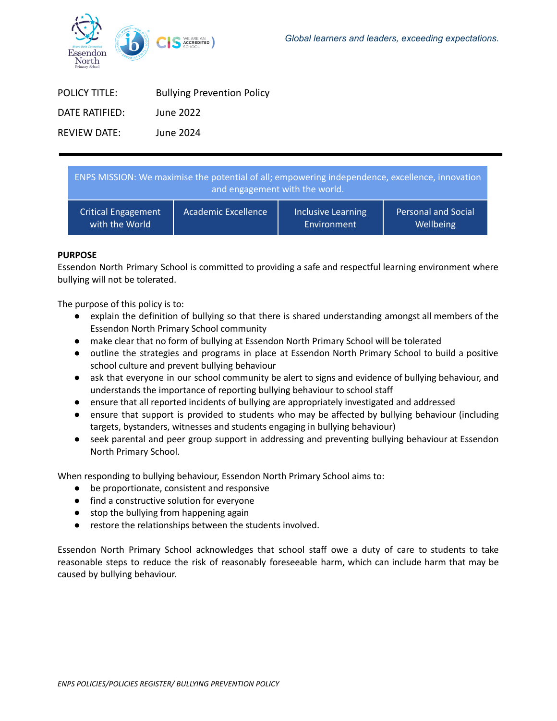

| <b>POLICY TITLE:</b> | <b>Bullying Prevention Policy</b> |
|----------------------|-----------------------------------|
| DATE RATIFIFD:       | June 2022                         |
| REVIEW DATE:         | June 2024                         |

| ENPS MISSION: We maximise the potential of all; empowering independence, excellence, innovation<br>and engagement with the world. |                     |                           |                            |  |
|-----------------------------------------------------------------------------------------------------------------------------------|---------------------|---------------------------|----------------------------|--|
| <b>Critical Engagement</b>                                                                                                        | Academic Excellence | <b>Inclusive Learning</b> | <b>Personal and Social</b> |  |
| with the World                                                                                                                    |                     | Environment               | Wellbeing                  |  |

## **PURPOSE**

Essendon North Primary School is committed to providing a safe and respectful learning environment where bullying will not be tolerated.

The purpose of this policy is to:

- explain the definition of bullying so that there is shared understanding amongst all members of the Essendon North Primary School community
- make clear that no form of bullying at Essendon North Primary School will be tolerated
- outline the strategies and programs in place at Essendon North Primary School to build a positive school culture and prevent bullying behaviour
- ask that everyone in our school community be alert to signs and evidence of bullying behaviour, and understands the importance of reporting bullying behaviour to school staff
- ensure that all reported incidents of bullying are appropriately investigated and addressed
- ensure that support is provided to students who may be affected by bullying behaviour (including targets, bystanders, witnesses and students engaging in bullying behaviour)
- seek parental and peer group support in addressing and preventing bullying behaviour at Essendon North Primary School.

When responding to bullying behaviour, Essendon North Primary School aims to:

- be proportionate, consistent and responsive
- find a constructive solution for everyone
- stop the bullying from happening again
- restore the relationships between the students involved.

Essendon North Primary School acknowledges that school staff owe a duty of care to students to take reasonable steps to reduce the risk of reasonably foreseeable harm, which can include harm that may be caused by bullying behaviour.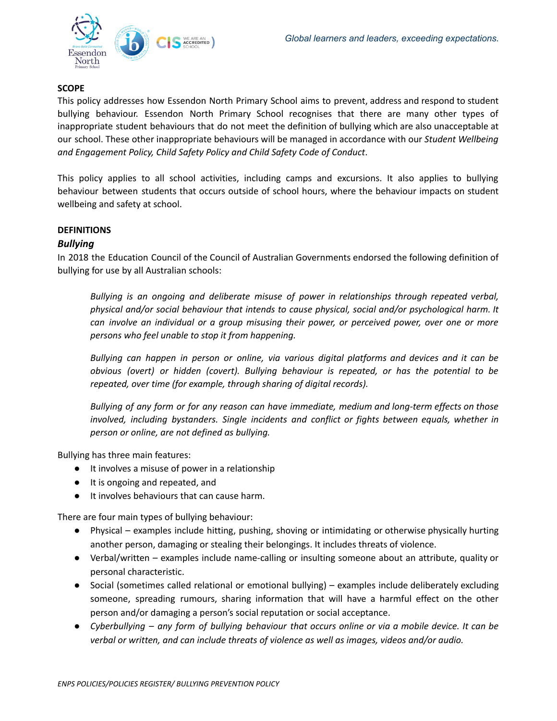

# **SCOPE**

This policy addresses how Essendon North Primary School aims to prevent, address and respond to student bullying behaviour. Essendon North Primary School recognises that there are many other types of inappropriate student behaviours that do not meet the definition of bullying which are also unacceptable at our school. These other inappropriate behaviours will be managed in accordance with our *Student Wellbeing and Engagement Policy, Child Safety Policy and Child Safety Code of Conduct*.

This policy applies to all school activities, including camps and excursions. It also applies to bullying behaviour between students that occurs outside of school hours, where the behaviour impacts on student wellbeing and safety at school.

## **DEFINITIONS**

# *Bullying*

In 2018 the Education Council of the Council of Australian Governments endorsed the following definition of bullying for use by all Australian schools:

*Bullying is an ongoing and deliberate misuse of power in relationships through repeated verbal, physical and/or social behaviour that intends to cause physical, social and/or psychological harm. It can involve an individual or a group misusing their power, or perceived power, over one or more persons who feel unable to stop it from happening.*

*Bullying can happen in person or online, via various digital platforms and devices and it can be obvious (overt) or hidden (covert). Bullying behaviour is repeated, or has the potential to be repeated, over time (for example, through sharing of digital records).*

*Bullying of any form or for any reason can have immediate, medium and long-term effects on those involved, including bystanders. Single incidents and conflict or fights between equals, whether in person or online, are not defined as bullying.*

Bullying has three main features:

- It involves a misuse of power in a relationship
- It is ongoing and repeated, and
- It involves behaviours that can cause harm.

There are four main types of bullying behaviour:

- Physical examples include hitting, pushing, shoving or intimidating or otherwise physically hurting another person, damaging or stealing their belongings. It includes threats of violence.
- Verbal/written examples include name-calling or insulting someone about an attribute, quality or personal characteristic.
- Social (sometimes called relational or emotional bullying) examples include deliberately excluding someone, spreading rumours, sharing information that will have a harmful effect on the other person and/or damaging a person's social reputation or social acceptance.
- Cyberbullying any form of bullying behaviour that occurs online or via a mobile device. It can be *verbal or written, and can include threats of violence as well as images, videos and/or audio.*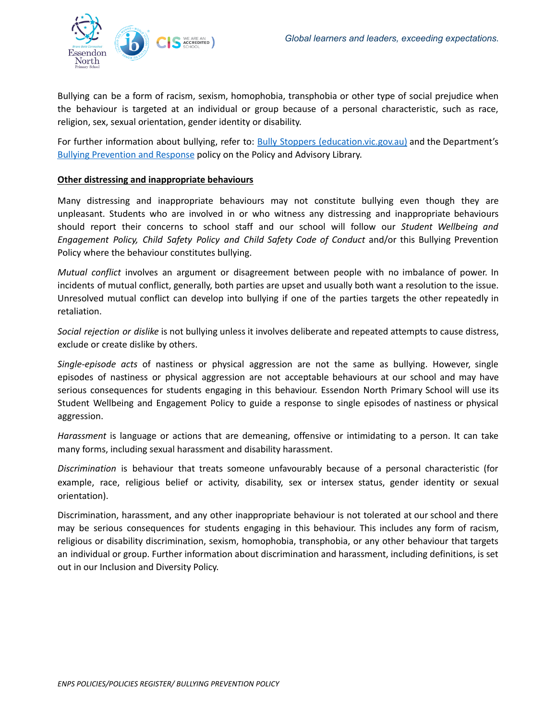

Bullying can be a form of racism, sexism, homophobia, transphobia or other type of social prejudice when the behaviour is targeted at an individual or group because of a personal characteristic, such as race, religion, sex, sexual orientation, gender identity or disability.

For further information about bullying, refer to: Bully Stoppers [\(education.vic.gov.au\)](https://www.education.vic.gov.au/about/programs/bullystoppers/Pages/default.aspx) and the Department'[s](https://www2.education.vic.gov.au/pal/bullying-prevention-response/policy) **Bullying [Prevention](https://www2.education.vic.gov.au/pal/bullying-prevention-response/policy) and Response policy on the Policy and Advisory Library.** 

## **Other distressing and inappropriate behaviours**

Many distressing and inappropriate behaviours may not constitute bullying even though they are unpleasant. Students who are involved in or who witness any distressing and inappropriate behaviours should report their concerns to school staff and our school will follow our *Student Wellbeing and Engagement Policy, Child Safety Policy and Child Safety Code of Conduct* and/or this Bullying Prevention Policy where the behaviour constitutes bullying.

*Mutual conflict* involves an argument or disagreement between people with no imbalance of power. In incidents of mutual conflict, generally, both parties are upset and usually both want a resolution to the issue. Unresolved mutual conflict can develop into bullying if one of the parties targets the other repeatedly in retaliation.

*Social rejection or dislike* is not bullying unless it involves deliberate and repeated attempts to cause distress, exclude or create dislike by others.

*Single-episode acts* of nastiness or physical aggression are not the same as bullying. However, single episodes of nastiness or physical aggression are not acceptable behaviours at our school and may have serious consequences for students engaging in this behaviour. Essendon North Primary School will use its Student Wellbeing and Engagement Policy to guide a response to single episodes of nastiness or physical aggression.

*Harassment* is language or actions that are demeaning, offensive or intimidating to a person. It can take many forms, including sexual harassment and disability harassment.

*Discrimination* is behaviour that treats someone unfavourably because of a personal characteristic (for example, race, religious belief or activity, disability, sex or intersex status, gender identity or sexual orientation).

Discrimination, harassment, and any other inappropriate behaviour is not tolerated at our school and there may be serious consequences for students engaging in this behaviour. This includes any form of racism, religious or disability discrimination, sexism, homophobia, transphobia, or any other behaviour that targets an individual or group. Further information about discrimination and harassment, including definitions, is set out in our Inclusion and Diversity Policy.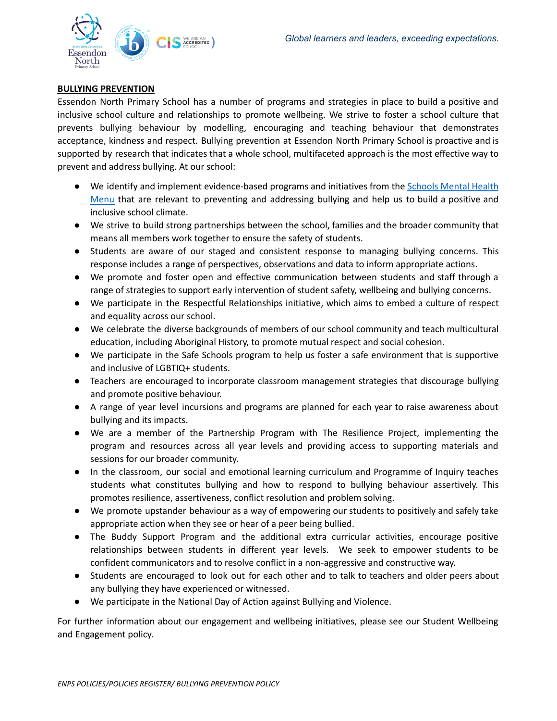

## **BULLYING PREVENTION**

Essendon North Primary School has a number of programs and strategies in place to build a positive and inclusive school culture and relationships to promote wellbeing. We strive to foster a school culture that prevents bullying behaviour by modelling, encouraging and teaching behaviour that demonstrates acceptance, kindness and respect. Bullying prevention at Essendon North Primary School is proactive and is supported by research that indicates that a whole school, multifaceted approach is the most effective way to prevent and address bullying. At our school:

- We identify and implement evidence-based programs and initiatives from the [Schools](https://www.education.vic.gov.au/school/teachers/health/mentalhealth/mental-health-menu/Pages/Menu.aspx?Redirect=1) Mental Health [Menu](https://www.education.vic.gov.au/school/teachers/health/mentalhealth/mental-health-menu/Pages/Menu.aspx?Redirect=1) that are relevant to preventing and addressing bullying and help us to build a positive and inclusive school climate.
- We strive to build strong partnerships between the school, families and the broader community that means all members work together to ensure the safety of students.
- Students are aware of our staged and consistent response to managing bullying concerns. This response includes a range of perspectives, observations and data to inform appropriate actions.
- We promote and foster open and effective communication between students and staff through a range of strategies to support early intervention of student safety, wellbeing and bullying concerns.
- We participate in the Respectful Relationships initiative, which aims to embed a culture of respect and equality across our school.
- We celebrate the diverse backgrounds of members of our school community and teach multicultural education, including Aboriginal History, to promote mutual respect and social cohesion.
- We participate in the Safe Schools program to help us foster a safe environment that is supportive and inclusive of LGBTIQ+ students.
- Teachers are encouraged to incorporate classroom management strategies that discourage bullying and promote positive behaviour.
- A range of year level incursions and programs are planned for each year to raise awareness about bullying and its impacts.
- We are a member of the Partnership Program with The Resilience Project, implementing the program and resources across all year levels and providing access to supporting materials and sessions for our broader community.
- In the classroom, our social and emotional learning curriculum and Programme of Inquiry teaches students what constitutes bullying and how to respond to bullying behaviour assertively. This promotes resilience, assertiveness, conflict resolution and problem solving.
- We promote upstander behaviour as a way of empowering our students to positively and safely take appropriate action when they see or hear of a peer being bullied.
- The Buddy Support Program and the additional extra curricular activities, encourage positive relationships between students in different year levels. We seek to empower students to be confident communicators and to resolve conflict in a non-aggressive and constructive way.
- Students are encouraged to look out for each other and to talk to teachers and older peers about any bullying they have experienced or witnessed.
- We participate in the National Day of Action against Bullying and Violence.

For further information about our engagement and wellbeing initiatives, please see our Student Wellbeing and Engagement policy.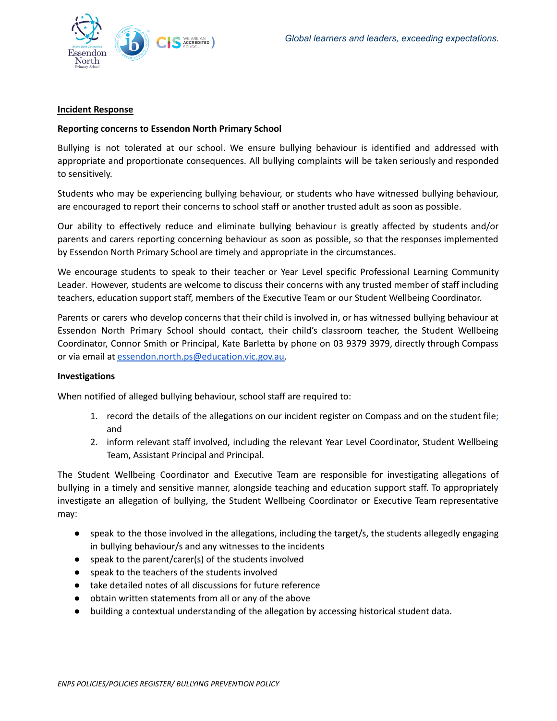

### **Incident Response**

### **Reporting concerns to Essendon North Primary School**

Bullying is not tolerated at our school. We ensure bullying behaviour is identified and addressed with appropriate and proportionate consequences. All bullying complaints will be taken seriously and responded to sensitively.

Students who may be experiencing bullying behaviour, or students who have witnessed bullying behaviour, are encouraged to report their concerns to school staff or another trusted adult as soon as possible.

Our ability to effectively reduce and eliminate bullying behaviour is greatly affected by students and/or parents and carers reporting concerning behaviour as soon as possible, so that the responses implemented by Essendon North Primary School are timely and appropriate in the circumstances.

We encourage students to speak to their teacher or Year Level specific Professional Learning Community Leader. However, students are welcome to discuss their concerns with any trusted member of staff including teachers, education support staff, members of the Executive Team or our Student Wellbeing Coordinator.

Parents or carers who develop concerns that their child is involved in, or has witnessed bullying behaviour at Essendon North Primary School should contact, their child's classroom teacher, the Student Wellbeing Coordinator, Connor Smith or Principal, Kate Barletta by phone on 03 9379 3979, directly through Compass or via email at [essendon.north.ps@education.vic.gov.au.](mailto:essendon.north.ps@education.vic.gov.au)

#### **Investigations**

When notified of alleged bullying behaviour, school staff are required to:

- 1. record the details of the allegations on our incident register on Compass and on the student file; and
- 2. inform relevant staff involved, including the relevant Year Level Coordinator, Student Wellbeing Team, Assistant Principal and Principal.

The Student Wellbeing Coordinator and Executive Team are responsible for investigating allegations of bullying in a timely and sensitive manner, alongside teaching and education support staff. To appropriately investigate an allegation of bullying, the Student Wellbeing Coordinator or Executive Team representative may:

- speak to the those involved in the allegations, including the target/s, the students allegedly engaging in bullying behaviour/s and any witnesses to the incidents
- speak to the parent/carer(s) of the students involved
- speak to the teachers of the students involved
- take detailed notes of all discussions for future reference
- obtain written statements from all or any of the above
- building a contextual understanding of the allegation by accessing historical student data.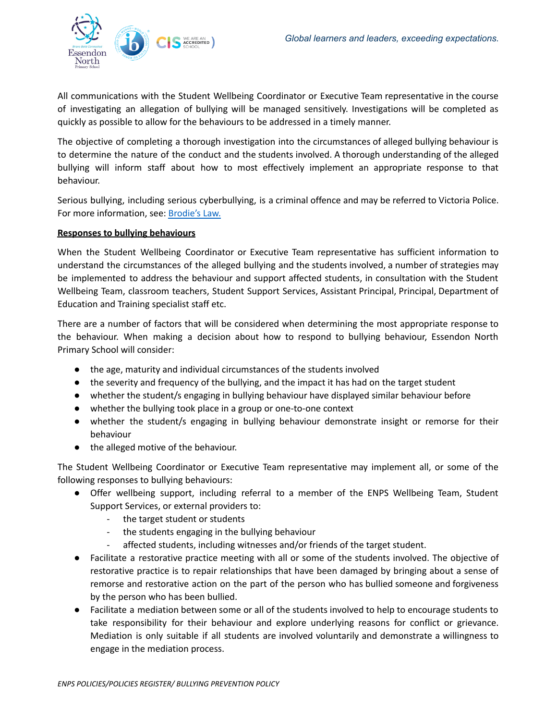

All communications with the Student Wellbeing Coordinator or Executive Team representative in the course of investigating an allegation of bullying will be managed sensitively. Investigations will be completed as quickly as possible to allow for the behaviours to be addressed in a timely manner.

The objective of completing a thorough investigation into the circumstances of alleged bullying behaviour is to determine the nature of the conduct and the students involved. A thorough understanding of the alleged bullying will inform staff about how to most effectively implement an appropriate response to that behaviour.

Serious bullying, including serious cyberbullying, is a criminal offence and may be referred to Victoria Police. For more information, see: [Brodie's](http://www.education.vic.gov.au/about/programs/bullystoppers/Pages/advicesheetbrodieslaw.aspx) Law.

## **Responses to bullying behaviours**

When the Student Wellbeing Coordinator or Executive Team representative has sufficient information to understand the circumstances of the alleged bullying and the students involved, a number of strategies may be implemented to address the behaviour and support affected students, in consultation with the Student Wellbeing Team, classroom teachers, Student Support Services, Assistant Principal, Principal, Department of Education and Training specialist staff etc.

There are a number of factors that will be considered when determining the most appropriate response to the behaviour. When making a decision about how to respond to bullying behaviour, Essendon North Primary School will consider:

- the age, maturity and individual circumstances of the students involved
- the severity and frequency of the bullying, and the impact it has had on the target student
- whether the student/s engaging in bullying behaviour have displayed similar behaviour before
- whether the bullying took place in a group or one-to-one context
- whether the student/s engaging in bullying behaviour demonstrate insight or remorse for their behaviour
- the alleged motive of the behaviour.

The Student Wellbeing Coordinator or Executive Team representative may implement all, or some of the following responses to bullying behaviours:

- Offer wellbeing support, including referral to a member of the ENPS Wellbeing Team, Student Support Services, or external providers to:
	- the target student or students
	- the students engaging in the bullying behaviour
	- affected students, including witnesses and/or friends of the target student.
- Facilitate a restorative practice meeting with all or some of the students involved. The objective of restorative practice is to repair relationships that have been damaged by bringing about a sense of remorse and restorative action on the part of the person who has bullied someone and forgiveness by the person who has been bullied.
- Facilitate a mediation between some or all of the students involved to help to encourage students to take responsibility for their behaviour and explore underlying reasons for conflict or grievance. Mediation is only suitable if all students are involved voluntarily and demonstrate a willingness to engage in the mediation process.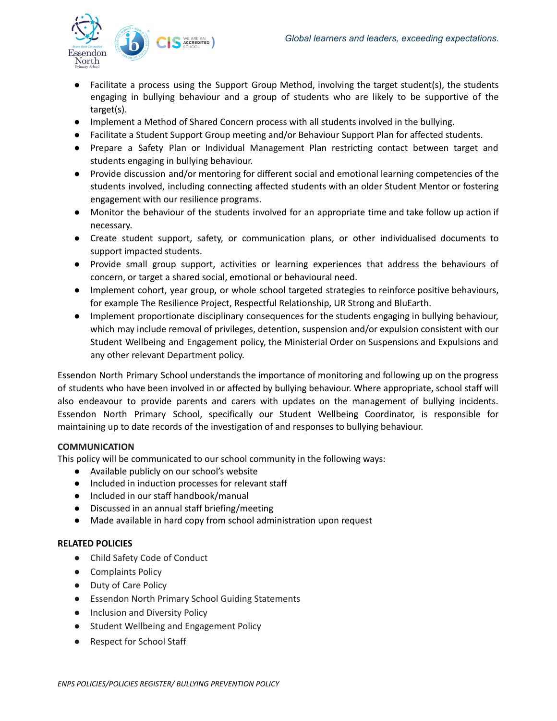

- Facilitate a process using the Support Group Method, involving the target student(s), the students engaging in bullying behaviour and a group of students who are likely to be supportive of the target(s).
- Implement a Method of Shared Concern process with all students involved in the bullying.
- Facilitate a Student Support Group meeting and/or Behaviour Support Plan for affected students.
- Prepare a Safety Plan or Individual Management Plan restricting contact between target and students engaging in bullying behaviour.
- Provide discussion and/or mentoring for different social and emotional learning competencies of the students involved, including connecting affected students with an older Student Mentor or fostering engagement with our resilience programs.
- Monitor the behaviour of the students involved for an appropriate time and take follow up action if necessary.
- Create student support, safety, or communication plans, or other individualised documents to support impacted students.
- Provide small group support, activities or learning experiences that address the behaviours of concern, or target a shared social, emotional or behavioural need.
- Implement cohort, year group, or whole school targeted strategies to reinforce positive behaviours, for example The Resilience Project, Respectful Relationship, UR Strong and BluEarth.
- Implement proportionate disciplinary consequences for the students engaging in bullying behaviour, which may include removal of privileges, detention, suspension and/or expulsion consistent with our Student Wellbeing and Engagement policy, the Ministerial Order on Suspensions and Expulsions and any other relevant Department policy.

Essendon North Primary School understands the importance of monitoring and following up on the progress of students who have been involved in or affected by bullying behaviour. Where appropriate, school staff will also endeavour to provide parents and carers with updates on the management of bullying incidents. Essendon North Primary School, specifically our Student Wellbeing Coordinator, is responsible for maintaining up to date records of the investigation of and responses to bullying behaviour.

# **COMMUNICATION**

This policy will be communicated to our school community in the following ways:

- Available publicly on our school's website
- Included in induction processes for relevant staff
- Included in our staff handbook/manual
- Discussed in an annual staff briefing/meeting
- Made available in hard copy from school administration upon request

## **RELATED POLICIES**

- Child Safety Code of Conduct
- Complaints Policy
- Duty of Care Policy
- Essendon North Primary School Guiding Statements
- Inclusion and Diversity Policy
- Student Wellbeing and Engagement Policy
- Respect for School Staff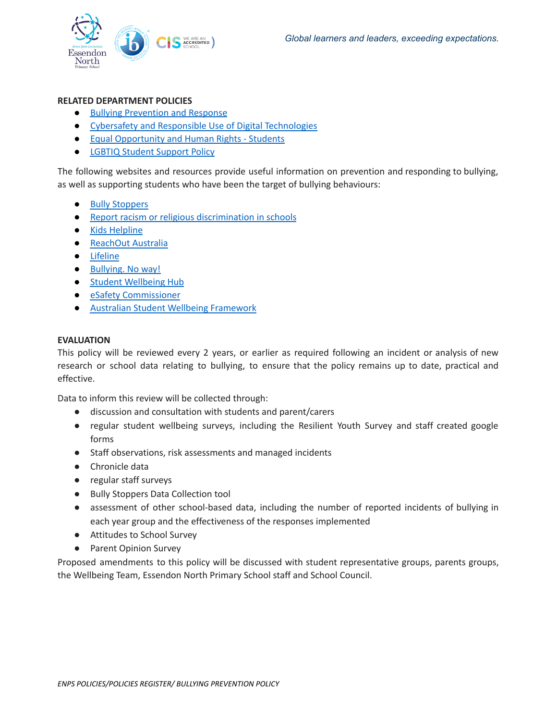

### **RELATED DEPARTMENT POLICIES**

- Bullying [Prevention](https://www2.education.vic.gov.au/pal/bullying-prevention-response/policy) and Response
- Cybersafety and Responsible Use of Digital [Technologies](https://www2.education.vic.gov.au/pal/cybersafety/policy)
- Equal [Opportunity](https://www2.education.vic.gov.au/pal/equal-opportunity-human-rights-students/policy) and Human Rights Students
- LGBTIQ Student [Support](https://www2.education.vic.gov.au/pal/lgbtiq-student-support/policy) Policy

The following websites and resources provide useful information on prevention and responding to bullying, as well as supporting students who have been the target of bullying behaviours:

- Bully [Stoppers](https://www.education.vic.gov.au/about/programs/bullystoppers/Pages/default.aspx)
- Report racism or religious [discrimination](https://www.vic.gov.au/report-racism-or-religious-discrimination-schools) in schools
- Kids [Helpline](https://kidshelpline.com.au/)
- [ReachOut](https://au.reachout.com/) Australia
- [Lifeline](https://www.lifeline.org.au/)
- [Bullying.](https://bullyingnoway.gov.au/) No way!
- Student [Wellbeing](https://www.studentwellbeinghub.edu.au/) Hub
- eSafety [Commissioner](https://www.esafety.gov.au/)
- Australian Student Wellbeing [Framework](https://studentwellbeinghub.edu.au/educators/resources/australian-student-wellbeing-framework/)

#### **EVALUATION**

This policy will be reviewed every 2 years, or earlier as required following an incident or analysis of new research or school data relating to bullying, to ensure that the policy remains up to date, practical and effective.

Data to inform this review will be collected through:

- discussion and consultation with students and parent/carers
- regular student wellbeing surveys, including the Resilient Youth Survey and staff created google forms
- Staff observations, risk assessments and managed incidents
- Chronicle data
- regular staff surveys
- Bully Stoppers Data Collection tool
- assessment of other school-based data, including the number of reported incidents of bullying in each year group and the effectiveness of the responses implemented
- Attitudes to School Survey
- Parent Opinion Survey

Proposed amendments to this policy will be discussed with student representative groups, parents groups, the Wellbeing Team, Essendon North Primary School staff and School Council.